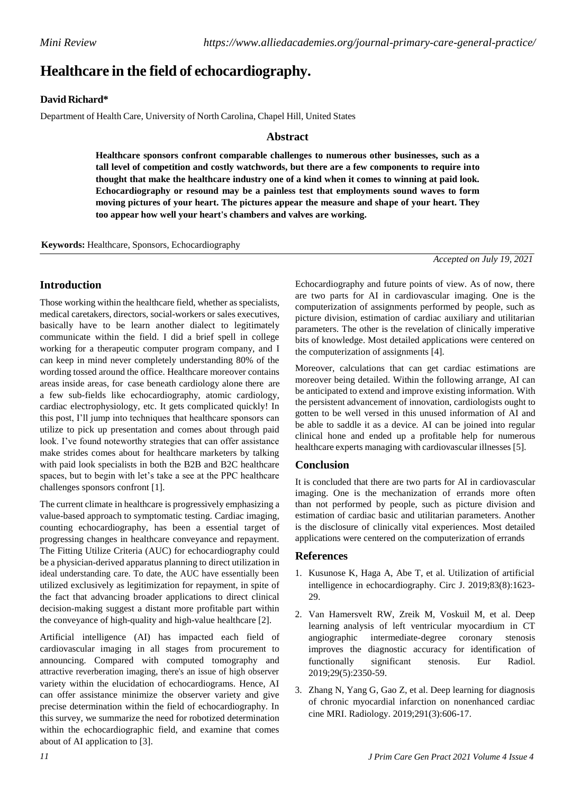# **Healthcare in the field of echocardiography.**

## **David Richard\***

Department of Health Care, University of North Carolina, Chapel Hill, United States

### **Abstract**

**Healthcare sponsors confront comparable challenges to numerous other businesses, such as a tall level of competition and costly watchwords, but there are a few components to require into thought that make the healthcare industry one of a kind when it comes to winning at paid look. Echocardiography or resound may be a painless test that employments sound waves to form moving pictures of your heart. The pictures appear the measure and shape of your heart. They too appear how well your heart's chambers and valves are working.**

**Keywords:** Healthcare, Sponsors, Echocardiography

*Accepted on July 19, 2021*

# **Introduction**

Those working within the healthcare field, whether as specialists, medical caretakers, directors, social-workers or sales executives, basically have to be learn another dialect to legitimately communicate within the field. I did a brief spell in college working for a therapeutic computer program company, and I can keep in mind never completely understanding 80% of the wording tossed around the office. Healthcare moreover contains areas inside areas, for case beneath cardiology alone there are a few sub-fields like echocardiography, atomic cardiology, cardiac electrophysiology, etc. It gets complicated quickly! In this post, I'll jump into techniques that healthcare sponsors can utilize to pick up presentation and comes about through paid look. I've found noteworthy strategies that can offer assistance make strides comes about for healthcare marketers by talking with paid look specialists in both the B2B and B2C healthcare spaces, but to begin with let's take a see at the PPC healthcare challenges sponsors confront [1].

The current climate in healthcare is progressively emphasizing a value-based approach to symptomatic testing. Cardiac imaging, counting echocardiography, has been a essential target of progressing changes in healthcare conveyance and repayment. The Fitting Utilize Criteria (AUC) for echocardiography could be a physician-derived apparatus planning to direct utilization in ideal understanding care. To date, the AUC have essentially been utilized exclusively as legitimization for repayment, in spite of the fact that advancing broader applications to direct clinical decision-making suggest a distant more profitable part within the conveyance of high-quality and high-value healthcare [2].

Artificial intelligence (AI) has impacted each field of cardiovascular imaging in all stages from procurement to announcing. Compared with computed tomography and attractive reverberation imaging, there's an issue of high observer variety within the elucidation of echocardiograms. Hence, AI can offer assistance minimize the observer variety and give precise determination within the field of echocardiography. In this survey, we summarize the need for robotized determination within the echocardiographic field, and examine that comes about of AI application to [3].

Echocardiography and future points of view. As of now, there are two parts for AI in cardiovascular imaging. One is the computerization of assignments performed by people, such as picture division, estimation of cardiac auxiliary and utilitarian parameters. The other is the revelation of clinically imperative bits of knowledge. Most detailed applications were centered on the computerization of assignments [4].

Moreover, calculations that can get cardiac estimations are moreover being detailed. Within the following arrange, AI can be anticipated to extend and improve existing information. With the persistent advancement of innovation, cardiologists ought to gotten to be well versed in this unused information of AI and be able to saddle it as a device. AI can be joined into regular clinical hone and ended up a profitable help for numerous healthcare experts managing with cardiovascular illnesses [5].

## **Conclusion**

It is concluded that there are two parts for AI in cardiovascular imaging. One is the mechanization of errands more often than not performed by people, such as picture division and estimation of cardiac basic and utilitarian parameters. Another is the disclosure of clinically vital experiences. Most detailed applications were centered on the computerization of errands

#### **References**

- 1. Kusunose K, Haga A, Abe T, et al. Utilization of artificial intelligence in echocardiography. Circ J. 2019;83(8):1623- 29.
- 2. Van Hamersvelt RW, Zreik M, Voskuil M, et al. Deep learning analysis of left ventricular myocardium in CT angiographic intermediate-degree coronary stenosis improves the diagnostic accuracy for identification of functionally significant stenosis. Eur Radiol. 2019;29(5):2350-59.
- 3. Zhang N, Yang G, Gao Z, et al. Deep learning for diagnosis of chronic myocardial infarction on nonenhanced cardiac cine MRI. Radiology. 2019;291(3):606-17.